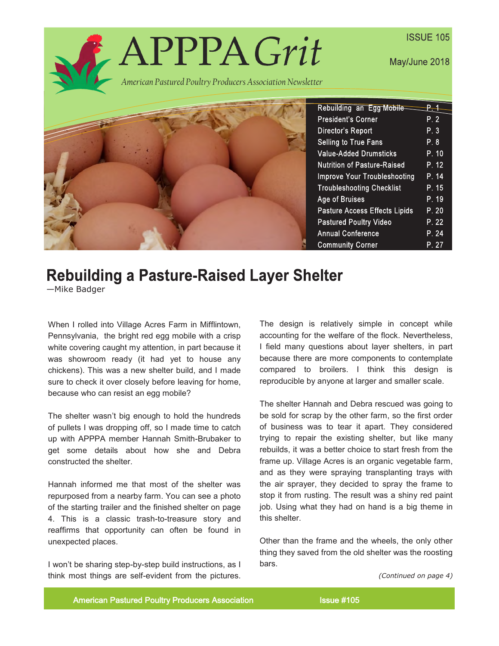

# **Rebuilding a Pasture-Raised Layer Shelter**

—Mike Badger

When I rolled into Village Acres Farm in Mifflintown, Pennsylvania, the bright red egg mobile with a crisp white covering caught my attention, in part because it was showroom ready (it had yet to house any chickens). This was a new shelter build, and I made sure to check it over closely before leaving for home, because who can resist an egg mobile?

The shelter wasn't big enough to hold the hundreds of pullets I was dropping off, so I made time to catch up with APPPA member Hannah Smith-Brubaker to get some details about how she and Debra constructed the shelter.

Hannah informed me that most of the shelter was repurposed from a nearby farm. You can see a photo of the starting trailer and the finished shelter on page 4. This is a classic trash-to-treasure story and reaffirms that opportunity can often be found in unexpected places.

I won't be sharing step-by-step build instructions, as I think most things are self-evident from the pictures. The design is relatively simple in concept while accounting for the welfare of the flock. Nevertheless, I field many questions about layer shelters, in part because there are more components to contemplate compared to broilers. I think this design is reproducible by anyone at larger and smaller scale.

The shelter Hannah and Debra rescued was going to be sold for scrap by the other farm, so the first order of business was to tear it apart. They considered trying to repair the existing shelter, but like many rebuilds, it was a better choice to start fresh from the frame up. Village Acres is an organic vegetable farm, and as they were spraying transplanting trays with the air sprayer, they decided to spray the frame to stop it from rusting. The result was a shiny red paint job. Using what they had on hand is a big theme in this shelter.

Other than the frame and the wheels, the only other thing they saved from the old shelter was the roosting bars.

*(Continued on page 4)*

American Pastured Poultry Producers Association **Issue #105**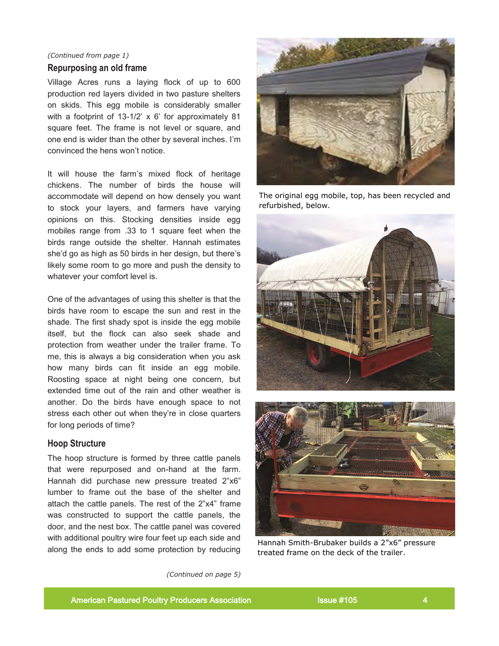# *(Continued from page 1)*

#### **Repurposing an old frame**

Village Acres runs a laying flock of up to 600 production red layers divided in two pasture shelters on skids. This egg mobile is considerably smaller with a footprint of 13-1/2' x 6' for approximately 81 square feet. The frame is not level or square, and one end is wider than the other by several inches. I'm convinced the hens won't notice.

It will house the farm's mixed flock of heritage chickens. The number of birds the house will accommodate will depend on how densely you want to stock your layers, and farmers have varying opinions on this. Stocking densities inside egg mobiles range from .33 to 1 square feet when the birds range outside the shelter. Hannah estimates she'd go as high as 50 birds in her design, but there's likely some room to go more and push the density to whatever your comfort level is.

One of the advantages of using this shelter is that the birds have room to escape the sun and rest in the shade. The first shady spot is inside the egg mobile itself, but the flock can also seek shade and protection from weather under the trailer frame. To me, this is always a big consideration when you ask how many birds can fit inside an egg mobile. Roosting space at night being one concern, but extended time out of the rain and other weather is another. Do the birds have enough space to not stress each other out when they're in close quarters for long periods of time?

# **Hoop Structure**

The hoop structure is formed by three cattle panels that were repurposed and on-hand at the farm. Hannah did purchase new pressure treated 2"x6" lumber to frame out the base of the shelter and attach the cattle panels. The rest of the 2"x4" frame was constructed to support the cattle panels, the door, and the nest box. The cattle panel was covered with additional poultry wire four feet up each side and along the ends to add some protection by reducing



The original egg mobile, top, has been recycled and refurbished, below.





Hannah Smith-Brubaker builds a 2"x6" pressure treated frame on the deck of the trailer.

*(Continued on page 5)*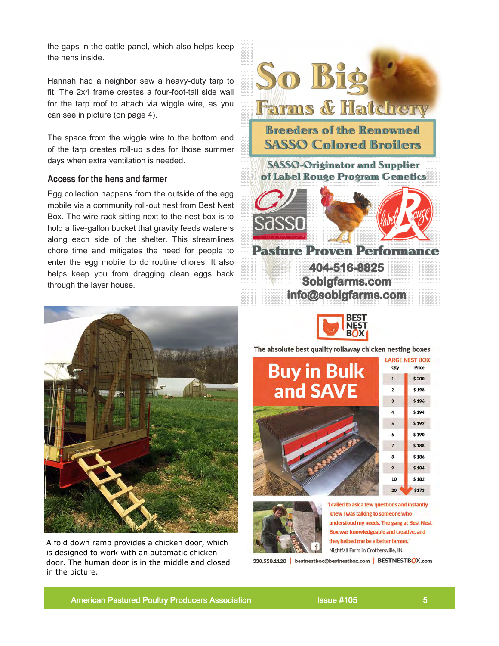the gaps in the cattle panel, which also helps keep the hens inside.

Hannah had a neighbor sew a heavy-duty tarp to fit. The 2x4 frame creates a four-foot-tall side wall for the tarp roof to attach via wiggle wire, as you can see in picture (on page 4).

The space from the wiggle wire to the bottom end of the tarp creates roll-up sides for those summer days when extra ventilation is needed.

# **Access for the hens and farmer**

Egg collection happens from the outside of the egg mobile via a community roll-out nest from Best Nest Box. The wire rack sitting next to the nest box is to hold a five-gallon bucket that gravity feeds waterers along each side of the shelter. This streamlines chore time and mitigates the need for people to enter the egg mobile to do routine chores. It also helps keep you from dragging clean eggs back through the layer house.



A fold down ramp provides a chicken door, which is designed to work with an automatic chicken door. The human door is in the middle and closed in the picture.





The absolute best quality rollaway chicken nesting boxes





"I called to ask a few questions and instantly knew I was talking to someone who understood my needs. The gang at Best Nest Box was knowledgeable and creative, and they helped me be a better farmer." Nightfall Farm in Crothersville, IN

330.558.1120 | bestnestbox@bestnestbox.com | BESTNESTBOX.com

American Pastured Poultry Producers Association **ISSUE #105** 5